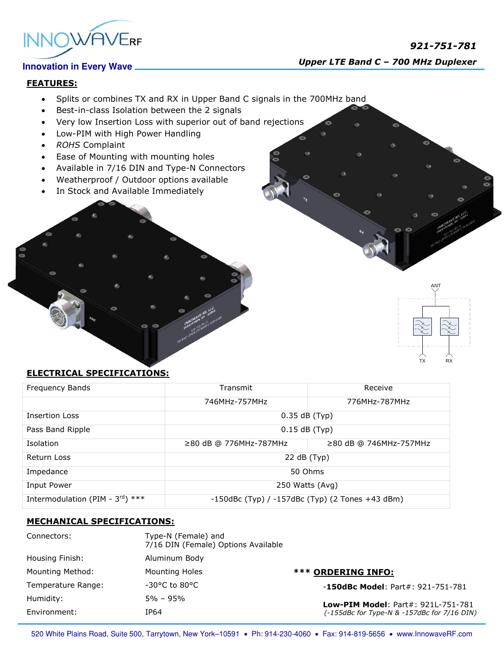

## **FEATURES:**

- Splits or combines TX and RX in Upper Band C signals in the 700MHz band
- Best-in-class Isolation between the 2 signals
- Very low Insertion Loss with superior out of band rejections
- Low-PIM with High Power Handling
- *ROHS* Complaint
- Ease of Mounting with mounting holes
- Available in 7/16 DIN and Type-N Connectors
- Weatherproof / Outdoor options available
- In Stock and Available Immediately

# TX RX ANT

## **ELECTRICAL SPECIFICATIONS:**

| Frequency Bands                              | Transmit                                              | Receive                |
|----------------------------------------------|-------------------------------------------------------|------------------------|
|                                              | 746MHz-757MHz                                         | 776MHz-787MHz          |
| <b>Insertion Loss</b>                        | $0.35$ dB (Typ)                                       |                        |
| Pass Band Ripple                             | $0.15$ dB (Typ)                                       |                        |
| Isolation                                    | $\geq$ 80 dB @ 776MHz-787MHz                          | ≥80 dB @ 746MHz-757MHz |
| Return Loss                                  | 22 dB (Typ)                                           |                        |
| Impedance                                    | 50 Ohms                                               |                        |
| Input Power                                  | 250 Watts (Avg)                                       |                        |
| Intermodulation (PIM - $3^{\text{rd}}$ ) *** | $-150$ dBc (Typ) / $-157$ dBc (Typ) (2 Tones +43 dBm) |                        |

## **MECHANICAL SPECIFICATIONS:**

| Connectors:        | Type-N (Female) and<br>7/16 DIN (Female) Options Available |                                                                                          |
|--------------------|------------------------------------------------------------|------------------------------------------------------------------------------------------|
| Housing Finish:    | Aluminum Body                                              |                                                                                          |
| Mounting Method:   | Mounting Holes                                             | *** ORDERING INFO:                                                                       |
| Temperature Range: | $-30^{\circ}$ C to 80 $^{\circ}$ C                         | $-150$ dBc Model: Part#: 921-751-781                                                     |
| Humidity:          | $5\% - 95\%$                                               | <b>Low-PIM Model: Part#: 921L-751-781</b><br>(-155dBc for Type-N & -157dBc for 7/16 DIN) |
| Environment:       | IP64                                                       |                                                                                          |

520 White Plains Road, Suite 500, Tarrytown, New York-10591 . Ph: 914-230-4060 . Fax: 914-819-5656 . www.InnowaveRF.com